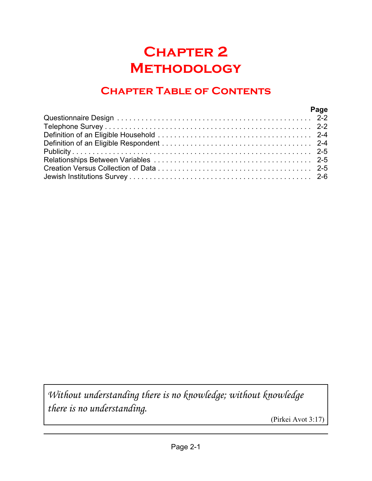# **Chapter 2 Methodology**

# **Chapter Table of Contents**

| Page |  |
|------|--|
|      |  |
|      |  |
|      |  |
|      |  |
|      |  |
|      |  |
|      |  |
|      |  |

*Without understanding there is no knowledge; without knowledge there is no understanding.*

(Pirkei Avot 3:17)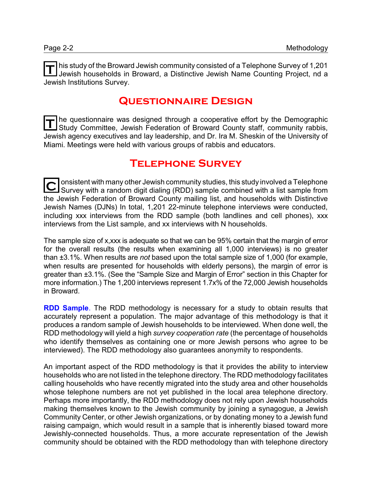**T** his study of the Broward Jewish community consisted of a Telephone Survey of 1,201 Jewish households in Broward, a Distinctive Jewish Name Counting Project, nd a Jewish Institutions Survey.

#### **Questionnaire Design**

T he questionnaire was designed through a cooperative effort by the Demographic<br>Study Committee, Jowish Eoderation of Broward County staff, community rabbis Study Committee, Jewish Federation of Broward County staff, community rabbis, Jewish agency executives and lay leadership, and Dr. Ira M. Sheskin of the University of Miami. Meetings were held with various groups of rabbis and educators.

#### **Telephone Survey**

C onsistent with many other Jewish community studies, this study involved a Telephone<br>Survey with a random digit dialing (RDD) sample combined with a list sample from  $\overline{\rightarrow}$  onsistent with many other Jewish community studies, this study involved a Telephone the Jewish Federation of Broward County mailing list, and households with Distinctive Jewish Names (DJNs) In total, 1,201 22-minute telephone interviews were conducted, including xxx interviews from the RDD sample (both landlines and cell phones), xxx interviews from the List sample, and xx interviews with N households.

The sample size of x,xxx is adequate so that we can be 95% certain that the margin of error for the overall results (the results when examining all 1,000 interviews) is no greater than ±3.1%. When results are *not* based upon the total sample size of 1,000 (for example, when results are presented for households with elderly persons), the margin of error is greater than ±3.1%. (See the "Sample Size and Margin of Error" section in this Chapter for more information.) The 1,200 interviews represent 1.7x% of the 72,000 Jewish households in Broward.

**RDD Sample**. The RDD methodology is necessary for a study to obtain results that accurately represent a population. The major advantage of this methodology is that it produces a random sample of Jewish households to be interviewed. When done well, the RDD methodology will yield a high *survey cooperation rate* (the percentage of households who identify themselves as containing one or more Jewish persons who agree to be interviewed). The RDD methodology also guarantees anonymity to respondents.

An important aspect of the RDD methodology is that it provides the ability to interview households who are not listed in the telephone directory. The RDD methodology facilitates calling households who have recently migrated into the study area and other households whose telephone numbers are not yet published in the local area telephone directory. Perhaps more importantly, the RDD methodology does not rely upon Jewish households making themselves known to the Jewish community by joining a synagogue, a Jewish Community Center, or other Jewish organizations, or by donating money to a Jewish fund raising campaign, which would result in a sample that is inherently biased toward more Jewishly-connected households. Thus, a more accurate representation of the Jewish community should be obtained with the RDD methodology than with telephone directory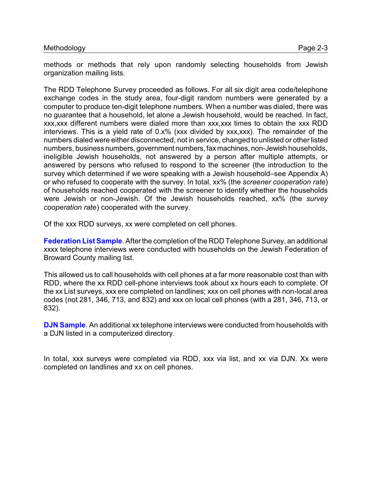methods or methods that rely upon randomly selecting households from Jewish organization mailing lists.

The RDD Telephone Survey proceeded as follows. For all six digit area code/telephone exchange codes in the study area, four-digit random numbers were generated by a computer to produce ten-digit telephone numbers. When a number was dialed, there was no guarantee that a household, let alone a Jewish household, would be reached. In fact, xxx,xxx different numbers were dialed more than xxx,xxx times to obtain the xxx RDD interviews. This is a yield rate of 0.x% (xxx divided by xxx,xxx). The remainder of the numbers dialed were either disconnected, not in service, changed to unlisted or other listed numbers, business numbers, government numbers, faxmachines, non-Jewish households, ineligible Jewish households, not answered by a person after multiple attempts, or answered by persons who refused to respond to the screener (the introduction to the survey which determined if we were speaking with a Jewish household–see Appendix A) or who refused to cooperate with the survey. In total, xx% (the *screener cooperation rate*) of households reached cooperated with the screener to identify whether the households were Jewish or non-Jewish. Of the Jewish households reached, xx% (the *survey cooperation rate*) cooperated with the survey.

Of the xxx RDD surveys, xx were completed on cell phones.

**Federation List Sample**. After the completion of the RDD Telephone Survey, an additional xxxx telephone interviews were conducted with households on the Jewish Federation of Broward County mailing list.

This allowed us to call households with cell phones at a far more reasonable cost than with RDD, where the xx RDD cell-phone interviews took about xx hours each to complete. Of the xx List surveys, xxx ere completed on landlines; xxx on cell phones with non-local area codes (not 281, 346, 713, and 832) and xxx on local cell phones (with a 281, 346, 713, or 832).

**DJN Sample**. An additional xx telephone interviews were conducted from households with a DJN listed in a computerized directory.

In total, xxx surveys were completed via RDD, xxx via list, and xx via DJN. Xx were completed on landlines and xx on cell phones.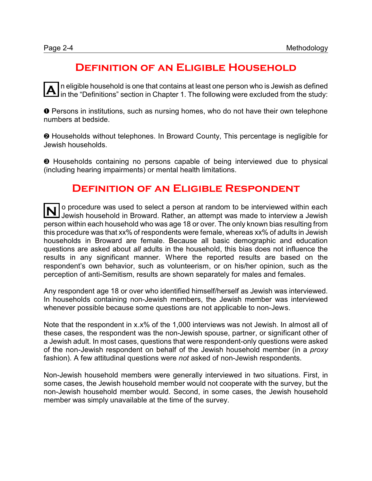# **Definition of an Eligible Household**

 $\overline{\mathbf{A}}$  in eligible household is one that contains at least one person who is Jewish as defined<br>in the "Definitions" section in Chapter 1. The following were excluded from the study: n eligible household is one that contains at least one person who is Jewish as defined

**O** Persons in institutions, such as nursing homes, who do not have their own telephone numbers at bedside.

**<sup>2</sup>** Households without telephones. In Broward County, This percentage is negligible for Jewish households.

**<sup>3</sup>** Households containing no persons capable of being interviewed due to physical (including hearing impairments) or mental health limitations.

### **Definition of an Eligible Respondent**

**N** o procedure was used to select a person at random to be interviewed within each Jewish household in Broward. Rather, an attempt was made to interview a Jewish person within each household who was age 18 or over. The only known bias resulting from this procedure was that xx% of respondents were female, whereas xx% of adults in Jewish households in Broward are female. Because all basic demographic and education questions are asked about *all* adults in the household, this bias does not influence the results in any significant manner. Where the reported results are based on the respondent's own behavior, such as volunteerism, or on his/her opinion, such as the perception of anti-Semitism, results are shown separately for males and females.

Any respondent age 18 or over who identified himself/herself as Jewish was interviewed. In households containing non-Jewish members, the Jewish member was interviewed whenever possible because some questions are not applicable to non-Jews.

Note that the respondent in x.x% of the 1,000 interviews was not Jewish. In almost all of these cases, the respondent was the non-Jewish spouse, partner, or significant other of a Jewish adult. In most cases, questions that were respondent-only questions were asked of the non-Jewish respondent on behalf of the Jewish household member (in a *proxy* fashion). A few attitudinal questions were *not* asked of non-Jewish respondents.

Non-Jewish household members were generally interviewed in two situations. First, in some cases, the Jewish household member would not cooperate with the survey, but the non-Jewish household member would. Second, in some cases, the Jewish household member was simply unavailable at the time of the survey.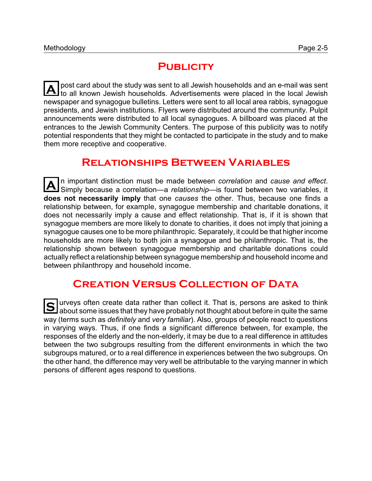# **PUBLICITY**

**A** post card about the study was sent to all Jewish households and an e-mail was sent to all known Jewish households. Advertisements were placed in the local Jewish newspaper and synagogue bulletins. Letters were sent to all local area rabbis, synagogue presidents, and Jewish institutions. Flyers were distributed around the community. Pulpit announcements were distributed to all local synagogues. A billboard was placed at the entrances to the Jewish Community Centers. The purpose of this publicity was to notify potential respondents that they might be contacted to participate in the study and to make them more receptive and cooperative.

# **Relationships Between Variables**

**A** n important distinction must be made between *correlation* and *cause and effect*. Simply because a correlation—a *relationship*—is found between two variables, it **does not necessarily imply** that one *causes* the other. Thus, because one finds a relationship between, for example, synagogue membership and charitable donations, it does not necessarily imply a cause and effect relationship. That is, if it is shown that synagogue members are more likely to donate to charities, it does not imply that joining a synagogue causes one to be more philanthropic. Separately, it could be that higher income households are more likely to both join a synagogue and be philanthropic. That is, the relationship shown between synagogue membership and charitable donations could actually reflect a relationship between synagogue membership and household income and between philanthropy and household income.

# **Creation Versus Collection of Data**

**S** urveys often create data rather than collect it. That is, persons are asked to think about some issues that they have probably not thought about before in quite the same way (terms such as *definitely* and *very familiar*). Also, groups of people react to questions in varying ways. Thus, if one finds a significant difference between, for example, the responses of the elderly and the non-elderly, it may be due to a real difference in attitudes between the two subgroups resulting from the different environments in which the two subgroups matured, or to a real difference in experiences between the two subgroups. On the other hand, the difference may very well be attributable to the varying manner in which persons of different ages respond to questions.